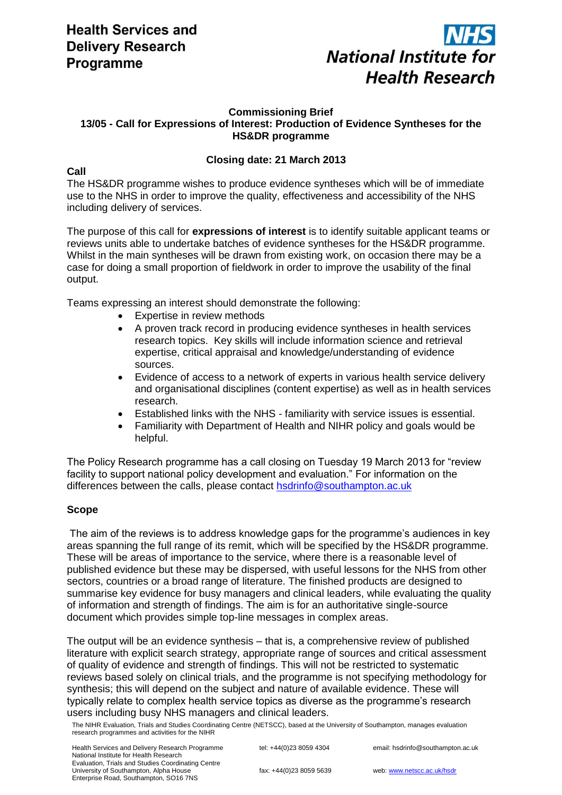

### **Commissioning Brief 13/05 - Call for Expressions of Interest: Production of Evidence Syntheses for the HS&DR programme**

# **Closing date: 21 March 2013**

## **Call**

The HS&DR programme wishes to produce evidence syntheses which will be of immediate use to the NHS in order to improve the quality, effectiveness and accessibility of the NHS including delivery of services.

The purpose of this call for **expressions of interest** is to identify suitable applicant teams or reviews units able to undertake batches of evidence syntheses for the HS&DR programme. Whilst in the main syntheses will be drawn from existing work, on occasion there may be a case for doing a small proportion of fieldwork in order to improve the usability of the final output.

Teams expressing an interest should demonstrate the following:

- Expertise in review methods
- A proven track record in producing evidence syntheses in health services research topics. Key skills will include information science and retrieval expertise, critical appraisal and knowledge/understanding of evidence sources.
- Evidence of access to a network of experts in various health service delivery and organisational disciplines (content expertise) as well as in health services research.
- Established links with the NHS familiarity with service issues is essential.
- Familiarity with Department of Health and NIHR policy and goals would be helpful.

The Policy Research programme has a call closing on Tuesday 19 March 2013 for "review facility to support national policy development and evaluation." For information on the differences between the calls, please contact [hsdrinfo@southampton.ac.uk](mailto:hsdrinfo@southampton.ac.uk)

## **Scope**

The aim of the reviews is to address knowledge gaps for the programme's audiences in key areas spanning the full range of its remit, which will be specified by the HS&DR programme. These will be areas of importance to the service, where there is a reasonable level of published evidence but these may be dispersed, with useful lessons for the NHS from other sectors, countries or a broad range of literature. The finished products are designed to summarise key evidence for busy managers and clinical leaders, while evaluating the quality of information and strength of findings. The aim is for an authoritative single-source document which provides simple top-line messages in complex areas.

The output will be an evidence synthesis – that is, a comprehensive review of published literature with explicit search strategy, appropriate range of sources and critical assessment of quality of evidence and strength of findings. This will not be restricted to systematic reviews based solely on clinical trials, and the programme is not specifying methodology for synthesis; this will depend on the subject and nature of available evidence. These will typically relate to complex health service topics as diverse as the programme's research users including busy NHS managers and clinical leaders.

The NIHR Evaluation, Trials and Studies Coordinating Centre (NETSCC), based at the University of Southampton, manages evaluation research programmes and activities for the NIHR